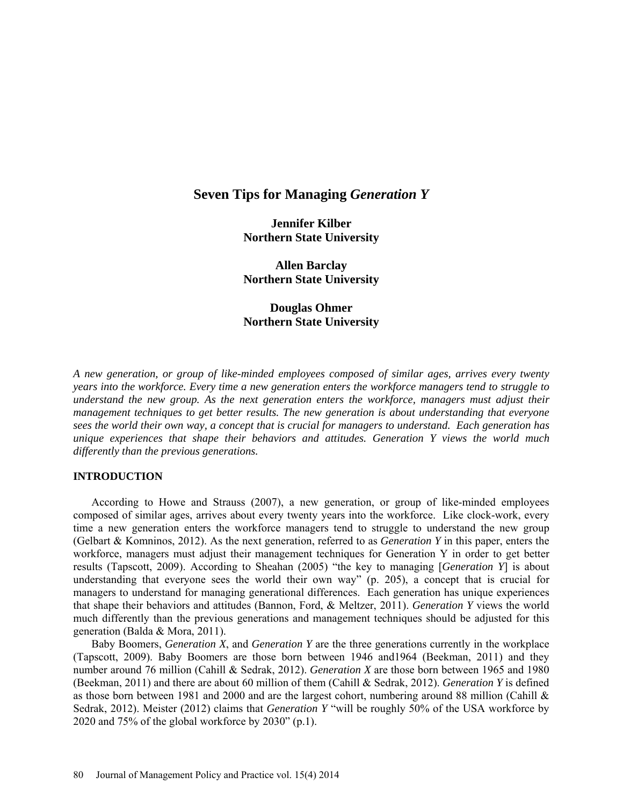# **Seven Tips for Managing** *Generation Y*

**Jennifer Kilber Northern State University**

**Allen Barclay Northern State University**

**Douglas Ohmer Northern State University**

*A new generation, or group of like-minded employees composed of similar ages, arrives every twenty years into the workforce. Every time a new generation enters the workforce managers tend to struggle to understand the new group. As the next generation enters the workforce, managers must adjust their management techniques to get better results. The new generation is about understanding that everyone sees the world their own way, a concept that is crucial for managers to understand. Each generation has unique experiences that shape their behaviors and attitudes. Generation Y views the world much differently than the previous generations.*

### **INTRODUCTION**

According to Howe and Strauss (2007), a new generation, or group of like-minded employees composed of similar ages, arrives about every twenty years into the workforce. Like clock-work, every time a new generation enters the workforce managers tend to struggle to understand the new group (Gelbart & Komninos, 2012). As the next generation, referred to as *Generation Y* in this paper, enters the workforce, managers must adjust their management techniques for Generation Y in order to get better results (Tapscott, 2009). According to Sheahan (2005) "the key to managing [*Generation Y*] is about understanding that everyone sees the world their own way" (p. 205), a concept that is crucial for managers to understand for managing generational differences. Each generation has unique experiences that shape their behaviors and attitudes (Bannon, Ford, & Meltzer, 2011). *Generation Y* views the world much differently than the previous generations and management techniques should be adjusted for this generation (Balda & Mora, 2011).

Baby Boomers, *Generation X*, and *Generation Y* are the three generations currently in the workplace (Tapscott, 2009). Baby Boomers are those born between 1946 and1964 (Beekman, 2011) and they number around 76 million (Cahill & Sedrak, 2012). *Generation X* are those born between 1965 and 1980 (Beekman, 2011) and there are about 60 million of them (Cahill & Sedrak, 2012). *Generation Y* is defined as those born between 1981 and 2000 and are the largest cohort, numbering around 88 million (Cahill & Sedrak, 2012). Meister (2012) claims that *Generation Y* "will be roughly 50% of the USA workforce by 2020 and 75% of the global workforce by 2030" (p.1).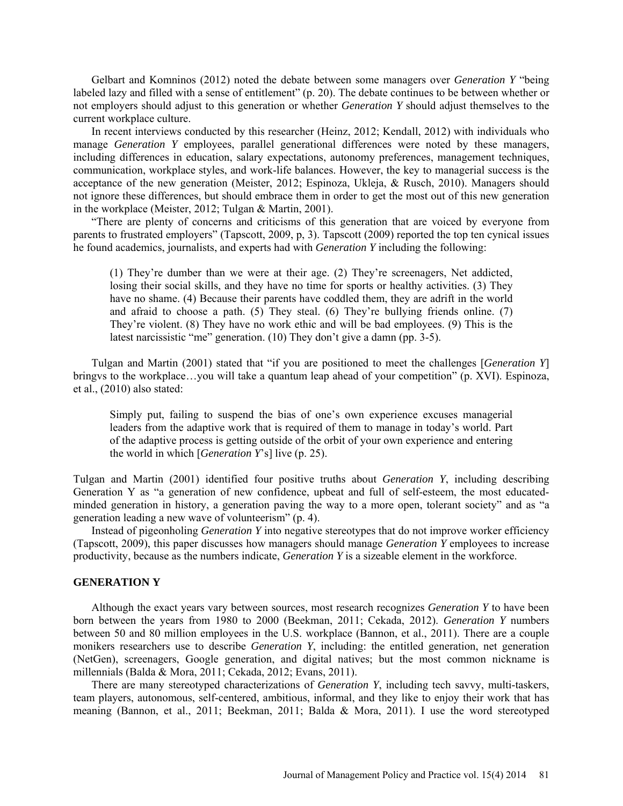Gelbart and Komninos (2012) noted the debate between some managers over *Generation Y* "being labeled lazy and filled with a sense of entitlement" (p. 20). The debate continues to be between whether or not employers should adjust to this generation or whether *Generation Y* should adjust themselves to the current workplace culture.

In recent interviews conducted by this researcher (Heinz, 2012; Kendall, 2012) with individuals who manage *Generation Y* employees, parallel generational differences were noted by these managers, including differences in education, salary expectations, autonomy preferences, management techniques, communication, workplace styles, and work-life balances. However, the key to managerial success is the acceptance of the new generation (Meister, 2012; Espinoza, Ukleja, & Rusch, 2010). Managers should not ignore these differences, but should embrace them in order to get the most out of this new generation in the workplace (Meister, 2012; Tulgan & Martin, 2001).

"There are plenty of concerns and criticisms of this generation that are voiced by everyone from parents to frustrated employers" (Tapscott, 2009, p, 3). Tapscott (2009) reported the top ten cynical issues he found academics, journalists, and experts had with *Generation Y* including the following:

(1) They're dumber than we were at their age. (2) They're screenagers, Net addicted, losing their social skills, and they have no time for sports or healthy activities. (3) They have no shame. (4) Because their parents have coddled them, they are adrift in the world and afraid to choose a path. (5) They steal. (6) They're bullying friends online. (7) They're violent. (8) They have no work ethic and will be bad employees. (9) This is the latest narcissistic "me" generation. (10) They don't give a damn (pp. 3-5).

Tulgan and Martin (2001) stated that "if you are positioned to meet the challenges [*Generation Y*] bringvs to the workplace...you will take a quantum leap ahead of your competition" (p. XVI). Espinoza, et al., (2010) also stated:

Simply put, failing to suspend the bias of one's own experience excuses managerial leaders from the adaptive work that is required of them to manage in today's world. Part of the adaptive process is getting outside of the orbit of your own experience and entering the world in which [*Generation Y*'s] live (p. 25).

Tulgan and Martin (2001) identified four positive truths about *Generation Y*, including describing Generation Y as "a generation of new confidence, upbeat and full of self-esteem, the most educatedminded generation in history, a generation paving the way to a more open, tolerant society" and as "a generation leading a new wave of volunteerism" (p. 4).

Instead of pigeonholing *Generation Y* into negative stereotypes that do not improve worker efficiency (Tapscott, 2009), this paper discusses how managers should manage *Generation Y* employees to increase productivity, because as the numbers indicate, *Generation Y* is a sizeable element in the workforce.

# **GENERATION Y**

Although the exact years vary between sources, most research recognizes *Generation Y* to have been born between the years from 1980 to 2000 (Beekman, 2011; Cekada, 2012). *Generation Y* numbers between 50 and 80 million employees in the U.S. workplace (Bannon, et al., 2011). There are a couple monikers researchers use to describe *Generation Y*, including: the entitled generation, net generation (NetGen), screenagers, Google generation, and digital natives; but the most common nickname is millennials (Balda & Mora, 2011; Cekada, 2012; Evans, 2011).

There are many stereotyped characterizations of *Generation Y*, including tech savvy, multi-taskers, team players, autonomous, self-centered, ambitious, informal, and they like to enjoy their work that has meaning (Bannon, et al., 2011; Beekman, 2011; Balda & Mora, 2011). I use the word stereotyped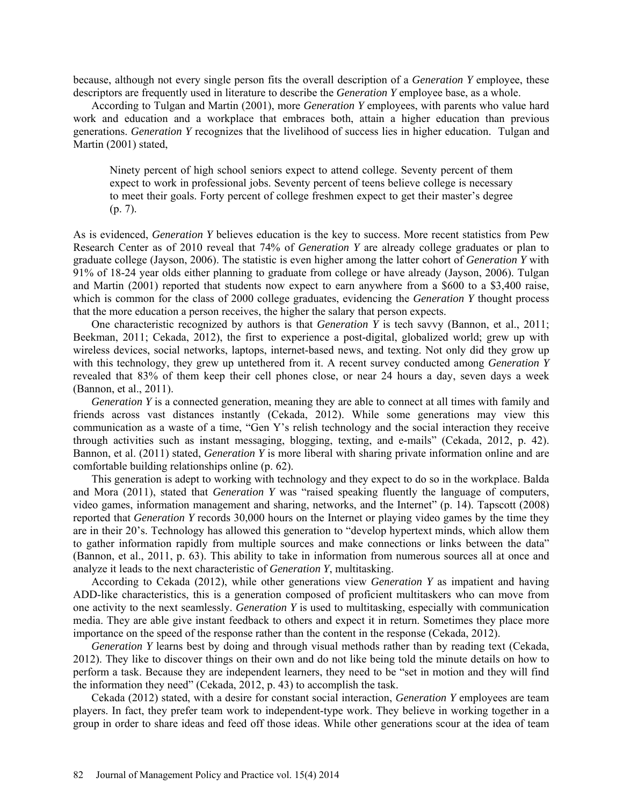because, although not every single person fits the overall description of a *Generation Y* employee, these descriptors are frequently used in literature to describe the *Generation Y* employee base, as a whole.

According to Tulgan and Martin (2001), more *Generation Y* employees, with parents who value hard work and education and a workplace that embraces both, attain a higher education than previous generations. *Generation Y* recognizes that the livelihood of success lies in higher education. Tulgan and Martin (2001) stated,

Ninety percent of high school seniors expect to attend college. Seventy percent of them expect to work in professional jobs. Seventy percent of teens believe college is necessary to meet their goals. Forty percent of college freshmen expect to get their master's degree (p. 7).

As is evidenced, *Generation Y* believes education is the key to success. More recent statistics from Pew Research Center as of 2010 reveal that 74% of *Generation Y* are already college graduates or plan to graduate college (Jayson, 2006). The statistic is even higher among the latter cohort of *Generation Y* with 91% of 18-24 year olds either planning to graduate from college or have already (Jayson, 2006). Tulgan and Martin (2001) reported that students now expect to earn anywhere from a \$600 to a \$3,400 raise, which is common for the class of 2000 college graduates, evidencing the *Generation Y* thought process that the more education a person receives, the higher the salary that person expects.

One characteristic recognized by authors is that *Generation Y* is tech savvy (Bannon, et al., 2011; Beekman, 2011; Cekada, 2012), the first to experience a post-digital, globalized world; grew up with wireless devices, social networks, laptops, internet-based news, and texting. Not only did they grow up with this technology, they grew up untethered from it. A recent survey conducted among *Generation Y* revealed that 83% of them keep their cell phones close, or near 24 hours a day, seven days a week (Bannon, et al., 2011).

*Generation Y* is a connected generation, meaning they are able to connect at all times with family and friends across vast distances instantly (Cekada, 2012). While some generations may view this communication as a waste of a time, "Gen Y's relish technology and the social interaction they receive through activities such as instant messaging, blogging, texting, and e-mails" (Cekada, 2012, p. 42). Bannon, et al. (2011) stated, *Generation Y* is more liberal with sharing private information online and are comfortable building relationships online (p. 62).

This generation is adept to working with technology and they expect to do so in the workplace. Balda and Mora (2011), stated that *Generation Y* was "raised speaking fluently the language of computers, video games, information management and sharing, networks, and the Internet" (p. 14). Tapscott (2008) reported that *Generation Y* records 30,000 hours on the Internet or playing video games by the time they are in their 20's. Technology has allowed this generation to "develop hypertext minds, which allow them to gather information rapidly from multiple sources and make connections or links between the data" (Bannon, et al., 2011, p. 63). This ability to take in information from numerous sources all at once and analyze it leads to the next characteristic of *Generation Y*, multitasking.

According to Cekada (2012), while other generations view *Generation Y* as impatient and having ADD-like characteristics, this is a generation composed of proficient multitaskers who can move from one activity to the next seamlessly. *Generation Y* is used to multitasking, especially with communication media. They are able give instant feedback to others and expect it in return. Sometimes they place more importance on the speed of the response rather than the content in the response (Cekada, 2012).

*Generation Y* learns best by doing and through visual methods rather than by reading text (Cekada, 2012). They like to discover things on their own and do not like being told the minute details on how to perform a task. Because they are independent learners, they need to be "set in motion and they will find the information they need" (Cekada, 2012, p. 43) to accomplish the task.

Cekada (2012) stated, with a desire for constant social interaction, *Generation Y* employees are team players. In fact, they prefer team work to independent-type work. They believe in working together in a group in order to share ideas and feed off those ideas. While other generations scour at the idea of team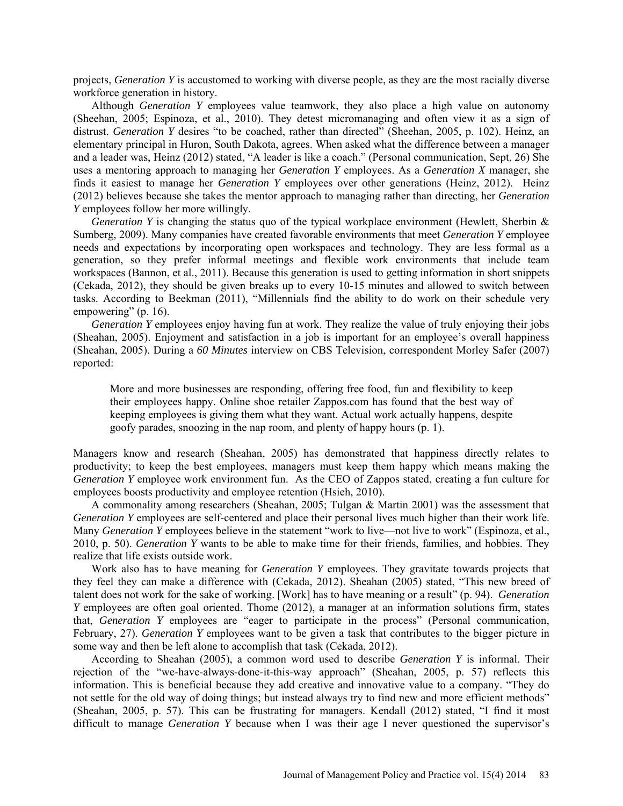projects, *Generation Y* is accustomed to working with diverse people, as they are the most racially diverse workforce generation in history.

Although *Generation Y* employees value teamwork, they also place a high value on autonomy (Sheehan, 2005; Espinoza, et al., 2010). They detest micromanaging and often view it as a sign of distrust. *Generation Y* desires "to be coached, rather than directed" (Sheehan, 2005, p. 102). Heinz, an elementary principal in Huron, South Dakota, agrees. When asked what the difference between a manager and a leader was, Heinz (2012) stated, "A leader is like a coach." (Personal communication, Sept, 26) She uses a mentoring approach to managing her *Generation Y* employees. As a *Generation X* manager, she finds it easiest to manage her *Generation Y* employees over other generations (Heinz, 2012). Heinz (2012) believes because she takes the mentor approach to managing rather than directing, her *Generation Y* employees follow her more willingly.

*Generation Y* is changing the status quo of the typical workplace environment (Hewlett, Sherbin & Sumberg, 2009). Many companies have created favorable environments that meet *Generation Y* employee needs and expectations by incorporating open workspaces and technology. They are less formal as a generation, so they prefer informal meetings and flexible work environments that include team workspaces (Bannon, et al., 2011). Because this generation is used to getting information in short snippets (Cekada, 2012), they should be given breaks up to every 10-15 minutes and allowed to switch between tasks. According to Beekman (2011), "Millennials find the ability to do work on their schedule very empowering" (p. 16).

*Generation Y* employees enjoy having fun at work. They realize the value of truly enjoying their jobs (Sheahan, 2005). Enjoyment and satisfaction in a job is important for an employee's overall happiness (Sheahan, 2005). During a *60 Minutes* interview on CBS Television, correspondent Morley Safer (2007) reported:

More and more businesses are responding, offering free food, fun and flexibility to keep their employees happy. Online shoe retailer Zappos.com has found that the best way of keeping employees is giving them what they want. Actual work actually happens, despite goofy parades, snoozing in the nap room, and plenty of happy hours (p. 1).

Managers know and research (Sheahan, 2005) has demonstrated that happiness directly relates to productivity; to keep the best employees, managers must keep them happy which means making the *Generation Y* employee work environment fun. As the CEO of Zappos stated, creating a fun culture for employees boosts productivity and employee retention (Hsieh, 2010).

A commonality among researchers (Sheahan, 2005; Tulgan & Martin 2001) was the assessment that *Generation Y* employees are self-centered and place their personal lives much higher than their work life. Many *Generation Y* employees believe in the statement "work to live—not live to work" (Espinoza, et al., 2010, p. 50). *Generation Y* wants to be able to make time for their friends, families, and hobbies. They realize that life exists outside work.

Work also has to have meaning for *Generation Y* employees. They gravitate towards projects that they feel they can make a difference with (Cekada, 2012). Sheahan (2005) stated, "This new breed of talent does not work for the sake of working. [Work] has to have meaning or a result" (p. 94). *Generation Y* employees are often goal oriented. Thome (2012), a manager at an information solutions firm, states that, *Generation Y* employees are "eager to participate in the process" (Personal communication, February, 27). *Generation Y* employees want to be given a task that contributes to the bigger picture in some way and then be left alone to accomplish that task (Cekada, 2012).

According to Sheahan (2005), a common word used to describe *Generation Y* is informal. Their rejection of the "we-have-always-done-it-this-way approach" (Sheahan, 2005, p. 57) reflects this information. This is beneficial because they add creative and innovative value to a company. "They do not settle for the old way of doing things; but instead always try to find new and more efficient methods" (Sheahan, 2005, p. 57). This can be frustrating for managers. Kendall (2012) stated, "I find it most difficult to manage *Generation Y* because when I was their age I never questioned the supervisor's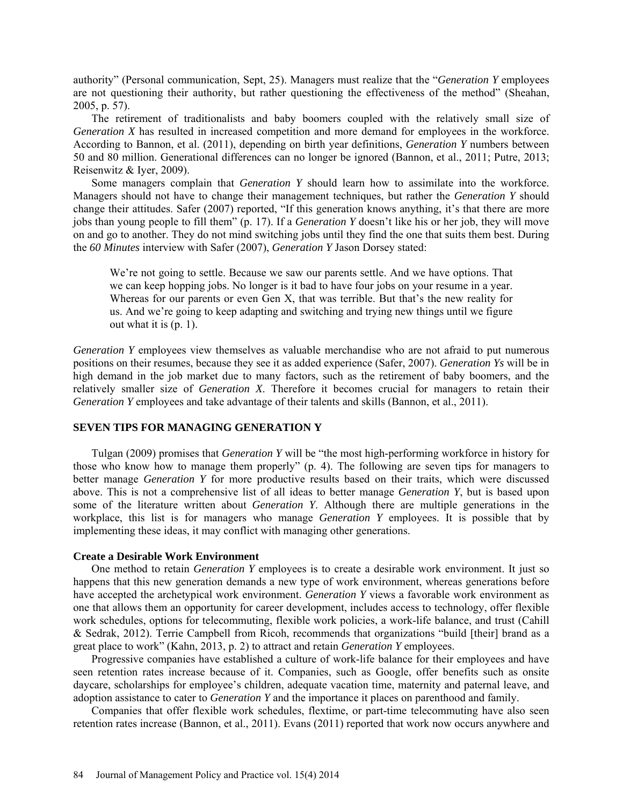authority" (Personal communication, Sept, 25). Managers must realize that the "*Generation Y* employees are not questioning their authority, but rather questioning the effectiveness of the method" (Sheahan, 2005, p. 57).

The retirement of traditionalists and baby boomers coupled with the relatively small size of *Generation X* has resulted in increased competition and more demand for employees in the workforce. According to Bannon, et al. (2011), depending on birth year definitions, *Generation Y* numbers between 50 and 80 million. Generational differences can no longer be ignored (Bannon, et al., 2011; Putre, 2013; Reisenwitz & Iyer, 2009).

Some managers complain that *Generation Y* should learn how to assimilate into the workforce. Managers should not have to change their management techniques, but rather the *Generation Y* should change their attitudes. Safer (2007) reported, "If this generation knows anything, it's that there are more jobs than young people to fill them" (p. 17). If a *Generation Y* doesn't like his or her job, they will move on and go to another. They do not mind switching jobs until they find the one that suits them best. During the *60 Minutes* interview with Safer (2007), *Generation Y* Jason Dorsey stated:

We're not going to settle. Because we saw our parents settle. And we have options. That we can keep hopping jobs. No longer is it bad to have four jobs on your resume in a year. Whereas for our parents or even Gen X, that was terrible. But that's the new reality for us. And we're going to keep adapting and switching and trying new things until we figure out what it is (p. 1).

*Generation Y* employees view themselves as valuable merchandise who are not afraid to put numerous positions on their resumes, because they see it as added experience (Safer, 2007). *Generation Ys* will be in high demand in the job market due to many factors, such as the retirement of baby boomers, and the relatively smaller size of *Generation X*. Therefore it becomes crucial for managers to retain their *Generation Y* employees and take advantage of their talents and skills (Bannon, et al., 2011).

## **SEVEN TIPS FOR MANAGING GENERATION Y**

Tulgan (2009) promises that *Generation Y* will be "the most high-performing workforce in history for those who know how to manage them properly" (p. 4). The following are seven tips for managers to better manage *Generation Y* for more productive results based on their traits, which were discussed above. This is not a comprehensive list of all ideas to better manage *Generation Y*, but is based upon some of the literature written about *Generation Y*. Although there are multiple generations in the workplace, this list is for managers who manage *Generation Y* employees. It is possible that by implementing these ideas, it may conflict with managing other generations.

# **Create a Desirable Work Environment**

One method to retain *Generation Y* employees is to create a desirable work environment. It just so happens that this new generation demands a new type of work environment, whereas generations before have accepted the archetypical work environment. *Generation Y* views a favorable work environment as one that allows them an opportunity for career development, includes access to technology, offer flexible work schedules, options for telecommuting, flexible work policies, a work-life balance, and trust (Cahill & Sedrak, 2012). Terrie Campbell from Ricoh, recommends that organizations "build [their] brand as a great place to work" (Kahn, 2013, p. 2) to attract and retain *Generation Y* employees.

Progressive companies have established a culture of work-life balance for their employees and have seen retention rates increase because of it. Companies, such as Google, offer benefits such as onsite daycare, scholarships for employee's children, adequate vacation time, maternity and paternal leave, and adoption assistance to cater to *Generation Y* and the importance it places on parenthood and family.

Companies that offer flexible work schedules, flextime, or part-time telecommuting have also seen retention rates increase (Bannon, et al., 2011). Evans (2011) reported that work now occurs anywhere and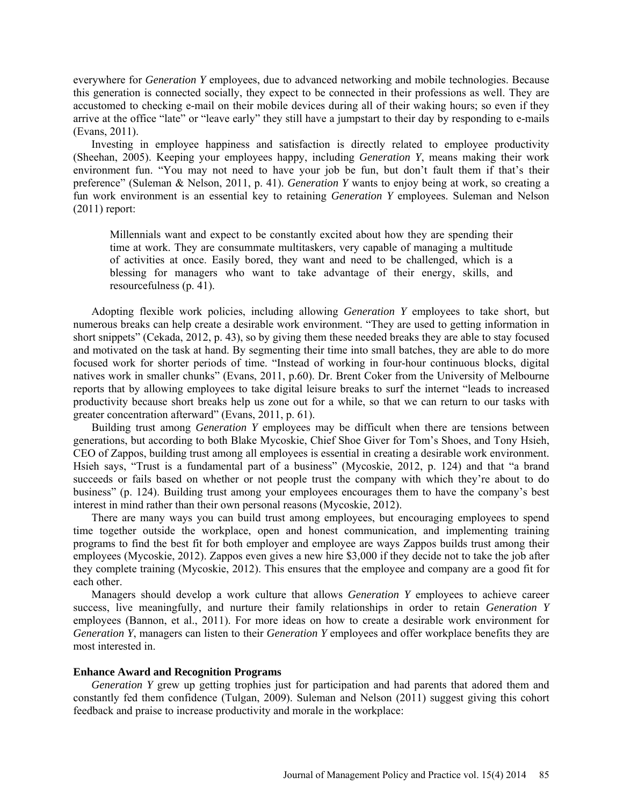everywhere for *Generation Y* employees, due to advanced networking and mobile technologies. Because this generation is connected socially, they expect to be connected in their professions as well. They are accustomed to checking e-mail on their mobile devices during all of their waking hours; so even if they arrive at the office "late" or "leave early" they still have a jumpstart to their day by responding to e-mails (Evans, 2011).

Investing in employee happiness and satisfaction is directly related to employee productivity (Sheehan, 2005). Keeping your employees happy, including *Generation Y*, means making their work environment fun. "You may not need to have your job be fun, but don't fault them if that's their preference" (Suleman & Nelson, 2011, p. 41). *Generation Y* wants to enjoy being at work, so creating a fun work environment is an essential key to retaining *Generation Y* employees. Suleman and Nelson (2011) report:

Millennials want and expect to be constantly excited about how they are spending their time at work. They are consummate multitaskers, very capable of managing a multitude of activities at once. Easily bored, they want and need to be challenged, which is a blessing for managers who want to take advantage of their energy, skills, and resourcefulness (p. 41).

Adopting flexible work policies, including allowing *Generation Y* employees to take short, but numerous breaks can help create a desirable work environment. "They are used to getting information in short snippets" (Cekada, 2012, p. 43), so by giving them these needed breaks they are able to stay focused and motivated on the task at hand. By segmenting their time into small batches, they are able to do more focused work for shorter periods of time. "Instead of working in four-hour continuous blocks, digital natives work in smaller chunks" (Evans, 2011, p.60). Dr. Brent Coker from the University of Melbourne reports that by allowing employees to take digital leisure breaks to surf the internet "leads to increased productivity because short breaks help us zone out for a while, so that we can return to our tasks with greater concentration afterward" (Evans, 2011, p. 61).

Building trust among *Generation Y* employees may be difficult when there are tensions between generations, but according to both Blake Mycoskie, Chief Shoe Giver for Tom's Shoes, and Tony Hsieh, CEO of Zappos, building trust among all employees is essential in creating a desirable work environment. Hsieh says, "Trust is a fundamental part of a business" (Mycoskie, 2012, p. 124) and that "a brand succeeds or fails based on whether or not people trust the company with which they're about to do business" (p. 124). Building trust among your employees encourages them to have the company's best interest in mind rather than their own personal reasons (Mycoskie, 2012).

There are many ways you can build trust among employees, but encouraging employees to spend time together outside the workplace, open and honest communication, and implementing training programs to find the best fit for both employer and employee are ways Zappos builds trust among their employees (Mycoskie, 2012). Zappos even gives a new hire \$3,000 if they decide not to take the job after they complete training (Mycoskie, 2012). This ensures that the employee and company are a good fit for each other.

Managers should develop a work culture that allows *Generation Y* employees to achieve career success, live meaningfully, and nurture their family relationships in order to retain *Generation Y* employees (Bannon, et al., 2011). For more ideas on how to create a desirable work environment for *Generation Y*, managers can listen to their *Generation Y* employees and offer workplace benefits they are most interested in.

### **Enhance Award and Recognition Programs**

*Generation Y* grew up getting trophies just for participation and had parents that adored them and constantly fed them confidence (Tulgan, 2009). Suleman and Nelson (2011) suggest giving this cohort feedback and praise to increase productivity and morale in the workplace: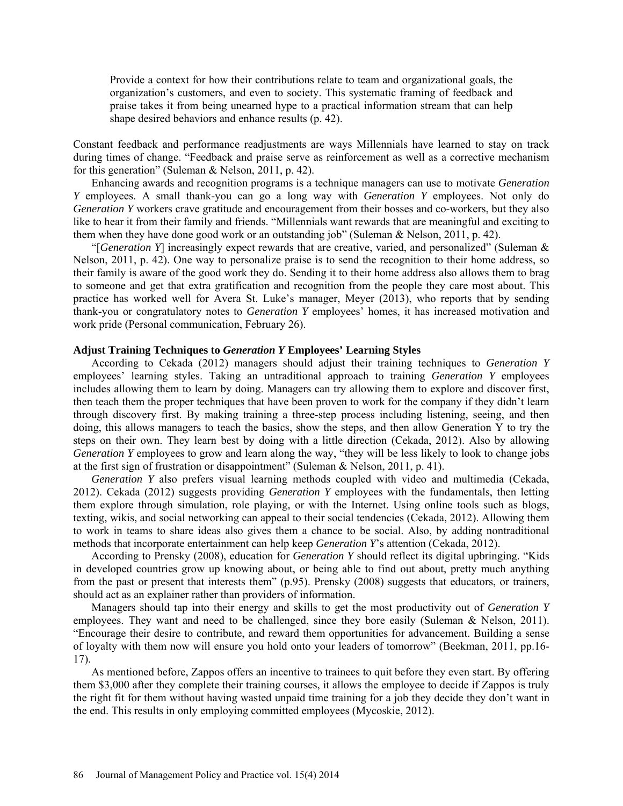Provide a context for how their contributions relate to team and organizational goals, the organization's customers, and even to society. This systematic framing of feedback and praise takes it from being unearned hype to a practical information stream that can help shape desired behaviors and enhance results (p. 42).

Constant feedback and performance readjustments are ways Millennials have learned to stay on track during times of change. "Feedback and praise serve as reinforcement as well as a corrective mechanism for this generation" (Suleman & Nelson, 2011, p. 42).

Enhancing awards and recognition programs is a technique managers can use to motivate *Generation Y* employees. A small thank-you can go a long way with *Generation Y* employees. Not only do *Generation Y* workers crave gratitude and encouragement from their bosses and co-workers, but they also like to hear it from their family and friends. "Millennials want rewards that are meaningful and exciting to them when they have done good work or an outstanding job" (Suleman & Nelson, 2011, p. 42).

"[*Generation Y*] increasingly expect rewards that are creative, varied, and personalized" (Suleman & Nelson, 2011, p. 42). One way to personalize praise is to send the recognition to their home address, so their family is aware of the good work they do. Sending it to their home address also allows them to brag to someone and get that extra gratification and recognition from the people they care most about. This practice has worked well for Avera St. Luke's manager, Meyer (2013), who reports that by sending thank-you or congratulatory notes to *Generation Y* employees' homes, it has increased motivation and work pride (Personal communication, February 26).

# **Adjust Training Techniques to** *Generation Y* **Employees' Learning Styles**

According to Cekada (2012) managers should adjust their training techniques to *Generation Y*  employees' learning styles. Taking an untraditional approach to training *Generation Y* employees includes allowing them to learn by doing. Managers can try allowing them to explore and discover first, then teach them the proper techniques that have been proven to work for the company if they didn't learn through discovery first. By making training a three-step process including listening, seeing, and then doing, this allows managers to teach the basics, show the steps, and then allow Generation Y to try the steps on their own. They learn best by doing with a little direction (Cekada, 2012). Also by allowing *Generation Y* employees to grow and learn along the way, "they will be less likely to look to change jobs at the first sign of frustration or disappointment" (Suleman & Nelson, 2011, p. 41).

*Generation Y* also prefers visual learning methods coupled with video and multimedia (Cekada, 2012). Cekada (2012) suggests providing *Generation Y* employees with the fundamentals, then letting them explore through simulation, role playing, or with the Internet. Using online tools such as blogs, texting, wikis, and social networking can appeal to their social tendencies (Cekada, 2012). Allowing them to work in teams to share ideas also gives them a chance to be social. Also, by adding nontraditional methods that incorporate entertainment can help keep *Generation Y*'s attention (Cekada, 2012).

According to Prensky (2008), education for *Generation Y* should reflect its digital upbringing. "Kids in developed countries grow up knowing about, or being able to find out about, pretty much anything from the past or present that interests them" (p.95). Prensky (2008) suggests that educators, or trainers, should act as an explainer rather than providers of information.

Managers should tap into their energy and skills to get the most productivity out of *Generation Y* employees. They want and need to be challenged, since they bore easily (Suleman & Nelson, 2011). "Encourage their desire to contribute, and reward them opportunities for advancement. Building a sense of loyalty with them now will ensure you hold onto your leaders of tomorrow" (Beekman, 2011, pp.16- 17).

As mentioned before, Zappos offers an incentive to trainees to quit before they even start. By offering them \$3,000 after they complete their training courses, it allows the employee to decide if Zappos is truly the right fit for them without having wasted unpaid time training for a job they decide they don't want in the end. This results in only employing committed employees (Mycoskie, 2012).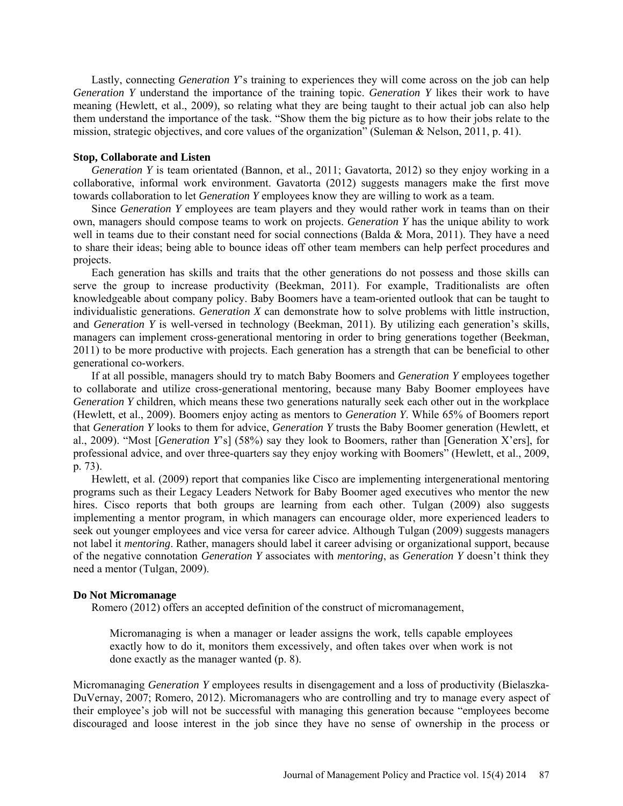Lastly, connecting *Generation Y*'s training to experiences they will come across on the job can help *Generation Y* understand the importance of the training topic. *Generation Y* likes their work to have meaning (Hewlett, et al., 2009), so relating what they are being taught to their actual job can also help them understand the importance of the task. "Show them the big picture as to how their jobs relate to the mission, strategic objectives, and core values of the organization" (Suleman & Nelson, 2011, p. 41).

### **Stop, Collaborate and Listen**

*Generation Y* is team orientated (Bannon, et al., 2011; Gavatorta, 2012) so they enjoy working in a collaborative, informal work environment. Gavatorta (2012) suggests managers make the first move towards collaboration to let *Generation Y* employees know they are willing to work as a team.

Since *Generation Y* employees are team players and they would rather work in teams than on their own, managers should compose teams to work on projects. *Generation Y* has the unique ability to work well in teams due to their constant need for social connections (Balda & Mora, 2011). They have a need to share their ideas; being able to bounce ideas off other team members can help perfect procedures and projects.

Each generation has skills and traits that the other generations do not possess and those skills can serve the group to increase productivity (Beekman, 2011). For example, Traditionalists are often knowledgeable about company policy. Baby Boomers have a team-oriented outlook that can be taught to individualistic generations. *Generation X* can demonstrate how to solve problems with little instruction, and *Generation Y* is well-versed in technology (Beekman, 2011). By utilizing each generation's skills, managers can implement cross-generational mentoring in order to bring generations together (Beekman, 2011) to be more productive with projects. Each generation has a strength that can be beneficial to other generational co-workers.

If at all possible, managers should try to match Baby Boomers and *Generation Y* employees together to collaborate and utilize cross-generational mentoring, because many Baby Boomer employees have *Generation Y* children, which means these two generations naturally seek each other out in the workplace (Hewlett, et al., 2009). Boomers enjoy acting as mentors to *Generation Y*. While 65% of Boomers report that *Generation Y* looks to them for advice, *Generation Y* trusts the Baby Boomer generation (Hewlett, et al., 2009). "Most [*Generation Y*'s] (58%) say they look to Boomers, rather than [Generation X'ers], for professional advice, and over three-quarters say they enjoy working with Boomers" (Hewlett, et al., 2009, p. 73).

Hewlett, et al. (2009) report that companies like Cisco are implementing intergenerational mentoring programs such as their Legacy Leaders Network for Baby Boomer aged executives who mentor the new hires. Cisco reports that both groups are learning from each other. Tulgan (2009) also suggests implementing a mentor program, in which managers can encourage older, more experienced leaders to seek out younger employees and vice versa for career advice. Although Tulgan (2009) suggests managers not label it *mentoring*. Rather, managers should label it career advising or organizational support, because of the negative connotation *Generation Y* associates with *mentoring*, as *Generation Y* doesn't think they need a mentor (Tulgan, 2009).

### **Do Not Micromanage**

Romero (2012) offers an accepted definition of the construct of micromanagement,

Micromanaging is when a manager or leader assigns the work, tells capable employees exactly how to do it, monitors them excessively, and often takes over when work is not done exactly as the manager wanted (p. 8).

Micromanaging *Generation Y* employees results in disengagement and a loss of productivity (Bielaszka-DuVernay, 2007; Romero, 2012). Micromanagers who are controlling and try to manage every aspect of their employee's job will not be successful with managing this generation because "employees become discouraged and loose interest in the job since they have no sense of ownership in the process or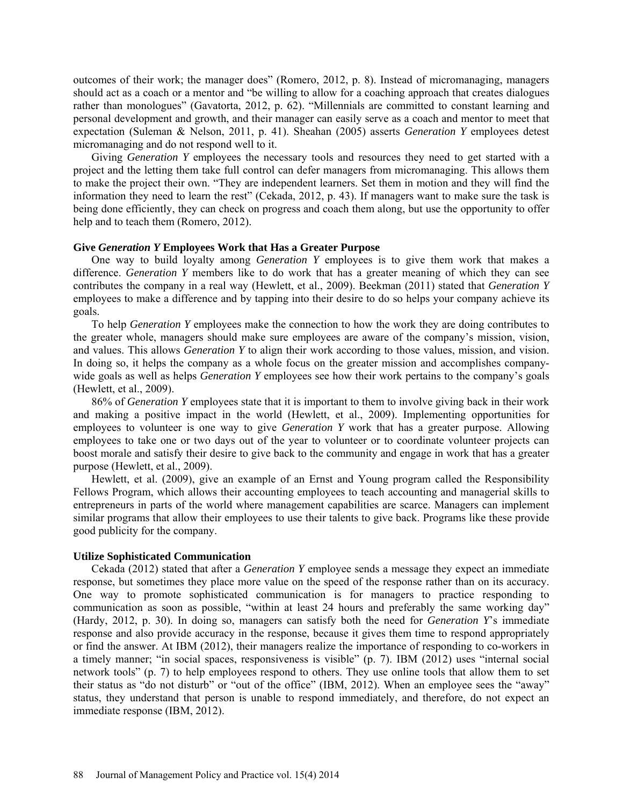outcomes of their work; the manager does" (Romero, 2012, p. 8). Instead of micromanaging, managers should act as a coach or a mentor and "be willing to allow for a coaching approach that creates dialogues rather than monologues" (Gavatorta, 2012, p. 62). "Millennials are committed to constant learning and personal development and growth, and their manager can easily serve as a coach and mentor to meet that expectation (Suleman & Nelson, 2011, p. 41). Sheahan (2005) asserts *Generation Y* employees detest micromanaging and do not respond well to it.

Giving *Generation Y* employees the necessary tools and resources they need to get started with a project and the letting them take full control can defer managers from micromanaging. This allows them to make the project their own. "They are independent learners. Set them in motion and they will find the information they need to learn the rest" (Cekada, 2012, p. 43). If managers want to make sure the task is being done efficiently, they can check on progress and coach them along, but use the opportunity to offer help and to teach them (Romero, 2012).

#### **Give** *Generation Y* **Employees Work that Has a Greater Purpose**

One way to build loyalty among *Generation Y* employees is to give them work that makes a difference. *Generation Y* members like to do work that has a greater meaning of which they can see contributes the company in a real way (Hewlett, et al., 2009). Beekman (2011) stated that *Generation Y* employees to make a difference and by tapping into their desire to do so helps your company achieve its goals.

To help *Generation Y* employees make the connection to how the work they are doing contributes to the greater whole, managers should make sure employees are aware of the company's mission, vision, and values. This allows *Generation Y* to align their work according to those values, mission, and vision. In doing so, it helps the company as a whole focus on the greater mission and accomplishes companywide goals as well as helps *Generation Y* employees see how their work pertains to the company's goals (Hewlett, et al., 2009).

86% of *Generation Y* employees state that it is important to them to involve giving back in their work and making a positive impact in the world (Hewlett, et al., 2009). Implementing opportunities for employees to volunteer is one way to give *Generation Y* work that has a greater purpose. Allowing employees to take one or two days out of the year to volunteer or to coordinate volunteer projects can boost morale and satisfy their desire to give back to the community and engage in work that has a greater purpose (Hewlett, et al., 2009).

Hewlett, et al. (2009), give an example of an Ernst and Young program called the Responsibility Fellows Program, which allows their accounting employees to teach accounting and managerial skills to entrepreneurs in parts of the world where management capabilities are scarce. Managers can implement similar programs that allow their employees to use their talents to give back. Programs like these provide good publicity for the company.

#### **Utilize Sophisticated Communication**

Cekada (2012) stated that after a *Generation Y* employee sends a message they expect an immediate response, but sometimes they place more value on the speed of the response rather than on its accuracy. One way to promote sophisticated communication is for managers to practice responding to communication as soon as possible, "within at least 24 hours and preferably the same working day" (Hardy, 2012, p. 30). In doing so, managers can satisfy both the need for *Generation Y*'s immediate response and also provide accuracy in the response, because it gives them time to respond appropriately or find the answer. At IBM (2012), their managers realize the importance of responding to co-workers in a timely manner; "in social spaces, responsiveness is visible" (p. 7). IBM (2012) uses "internal social network tools" (p. 7) to help employees respond to others. They use online tools that allow them to set their status as "do not disturb" or "out of the office" (IBM, 2012). When an employee sees the "away" status, they understand that person is unable to respond immediately, and therefore, do not expect an immediate response (IBM, 2012).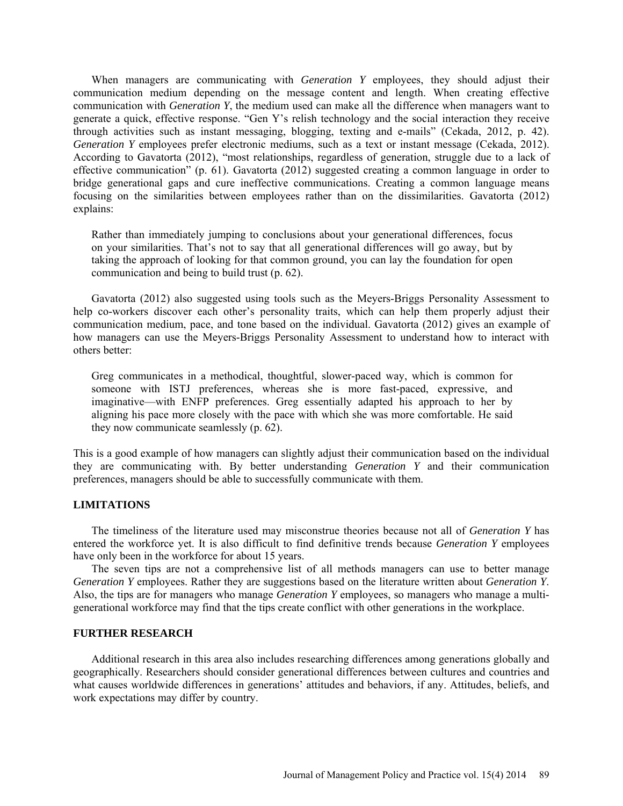When managers are communicating with *Generation Y* employees, they should adjust their communication medium depending on the message content and length. When creating effective communication with *Generation Y*, the medium used can make all the difference when managers want to generate a quick, effective response. "Gen Y's relish technology and the social interaction they receive through activities such as instant messaging, blogging, texting and e-mails" (Cekada, 2012, p. 42). *Generation Y* employees prefer electronic mediums, such as a text or instant message (Cekada, 2012). According to Gavatorta (2012), "most relationships, regardless of generation, struggle due to a lack of effective communication" (p. 61). Gavatorta (2012) suggested creating a common language in order to bridge generational gaps and cure ineffective communications. Creating a common language means focusing on the similarities between employees rather than on the dissimilarities. Gavatorta (2012) explains:

Rather than immediately jumping to conclusions about your generational differences, focus on your similarities. That's not to say that all generational differences will go away, but by taking the approach of looking for that common ground, you can lay the foundation for open communication and being to build trust (p. 62).

Gavatorta (2012) also suggested using tools such as the Meyers-Briggs Personality Assessment to help co-workers discover each other's personality traits, which can help them properly adjust their communication medium, pace, and tone based on the individual. Gavatorta (2012) gives an example of how managers can use the Meyers-Briggs Personality Assessment to understand how to interact with others better:

Greg communicates in a methodical, thoughtful, slower-paced way, which is common for someone with ISTJ preferences, whereas she is more fast-paced, expressive, and imaginative—with ENFP preferences. Greg essentially adapted his approach to her by aligning his pace more closely with the pace with which she was more comfortable. He said they now communicate seamlessly (p. 62).

This is a good example of how managers can slightly adjust their communication based on the individual they are communicating with. By better understanding *Generation Y* and their communication preferences, managers should be able to successfully communicate with them.

# **LIMITATIONS**

The timeliness of the literature used may misconstrue theories because not all of *Generation Y* has entered the workforce yet. It is also difficult to find definitive trends because *Generation Y* employees have only been in the workforce for about 15 years.

The seven tips are not a comprehensive list of all methods managers can use to better manage *Generation Y* employees. Rather they are suggestions based on the literature written about *Generation Y*. Also, the tips are for managers who manage *Generation Y* employees, so managers who manage a multigenerational workforce may find that the tips create conflict with other generations in the workplace.

# **FURTHER RESEARCH**

Additional research in this area also includes researching differences among generations globally and geographically. Researchers should consider generational differences between cultures and countries and what causes worldwide differences in generations' attitudes and behaviors, if any. Attitudes, beliefs, and work expectations may differ by country.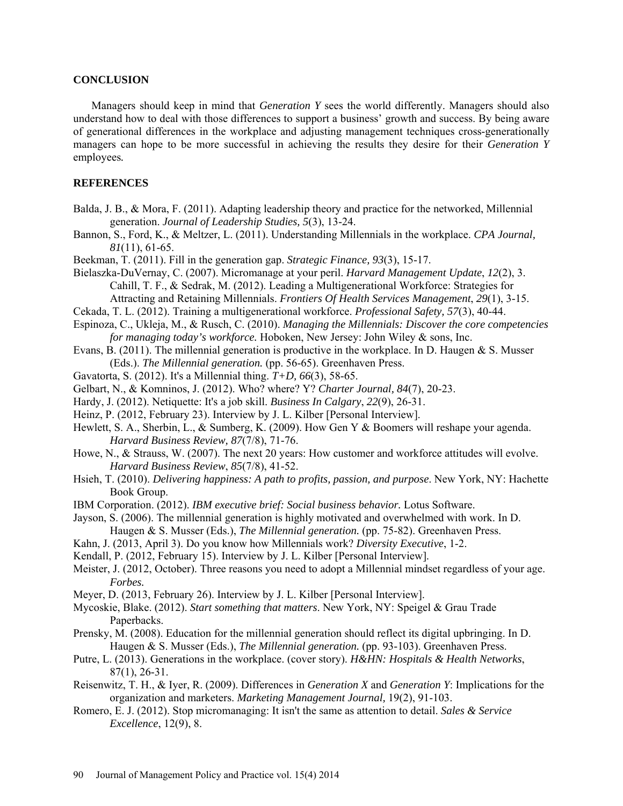#### **CONCLUSION**

Managers should keep in mind that *Generation Y* sees the world differently. Managers should also understand how to deal with those differences to support a business' growth and success. By being aware of generational differences in the workplace and adjusting management techniques cross-generationally managers can hope to be more successful in achieving the results they desire for their *Generation Y* employees*.*

### **REFERENCES**

- Balda, J. B., & Mora, F. (2011). Adapting leadership theory and practice for the networked, Millennial generation. *Journal of Leadership Studies, 5*(3), 13-24.
- Bannon, S., Ford, K., & Meltzer, L. (2011). Understanding Millennials in the workplace. *CPA Journal, 81*(11), 61-65.
- Beekman, T. (2011). Fill in the generation gap. *Strategic Finance, 93*(3), 15-17.

Bielaszka-DuVernay, C. (2007). Micromanage at your peril. *Harvard Management Update*, *12*(2), 3. Cahill, T. F., & Sedrak, M. (2012). Leading a Multigenerational Workforce: Strategies for Attracting and Retaining Millennials. *Frontiers Of Health Services Management*, *29*(1), 3-15.

- Cekada, T. L. (2012). Training a multigenerational workforce. *Professional Safety, 57*(3), 40-44.
- Espinoza, C., Ukleja, M., & Rusch, C. (2010). *Managing the Millennials: Discover the core competencies for managing today's workforce.* Hoboken, New Jersey: John Wiley & sons, Inc.
- Evans, B. (2011). The millennial generation is productive in the workplace. In D. Haugen & S. Musser (Eds.). *The Millennial generation.* (pp. 56-65). Greenhaven Press.
- Gavatorta, S. (2012). It's a Millennial thing. *T+D, 66*(3), 58-65.
- Gelbart, N., & Komninos, J. (2012). Who? where? Y? *Charter Journal, 84*(7), 20-23.
- Hardy, J. (2012). Netiquette: It's a job skill. *Business In Calgary*, *22*(9), 26-31.
- Heinz, P. (2012, February 23). Interview by J. L. Kilber [Personal Interview].
- Hewlett, S. A., Sherbin, L., & Sumberg, K. (2009). How Gen Y & Boomers will reshape your agenda. *Harvard Business Review, 87*(7/8), 71-76.
- Howe, N., & Strauss, W. (2007). The next 20 years: How customer and workforce attitudes will evolve. *Harvard Business Review*, *85*(7/8), 41-52.
- Hsieh, T. (2010). *Delivering happiness: A path to profits, passion, and purpose*. New York, NY: Hachette Book Group.
- IBM Corporation. (2012). *IBM executive brief: Social business behavior.* Lotus Software.
- Jayson, S. (2006). The millennial generation is highly motivated and overwhelmed with work. In D. Haugen & S. Musser (Eds.), *The Millennial generation.* (pp. 75-82). Greenhaven Press.
- Kahn, J. (2013, April 3). Do you know how Millennials work? *Diversity Executive*, 1-2.
- Kendall, P. (2012, February 15). Interview by J. L. Kilber [Personal Interview].
- Meister, J. (2012, October). Three reasons you need to adopt a Millennial mindset regardless of your age. *Forbes.*
- Meyer, D. (2013, February 26). Interview by J. L. Kilber [Personal Interview].
- Mycoskie, Blake. (2012). *Start something that matters*. New York, NY: Speigel & Grau Trade Paperbacks.
- Prensky, M. (2008). Education for the millennial generation should reflect its digital upbringing. In D. Haugen & S. Musser (Eds.), *The Millennial generation.* (pp. 93-103). Greenhaven Press.
- Putre, L. (2013). Generations in the workplace. (cover story). *H&HN: Hospitals & Health Networks*, 87(1), 26-31.
- Reisenwitz, T. H., & Iyer, R. (2009). Differences in *Generation X* and *Generation Y*: Implications for the organization and marketers. *Marketing Management Journal,* 19(2), 91-103.
- Romero, E. J. (2012). Stop micromanaging: It isn't the same as attention to detail. *Sales & Service Excellence*, 12(9), 8.